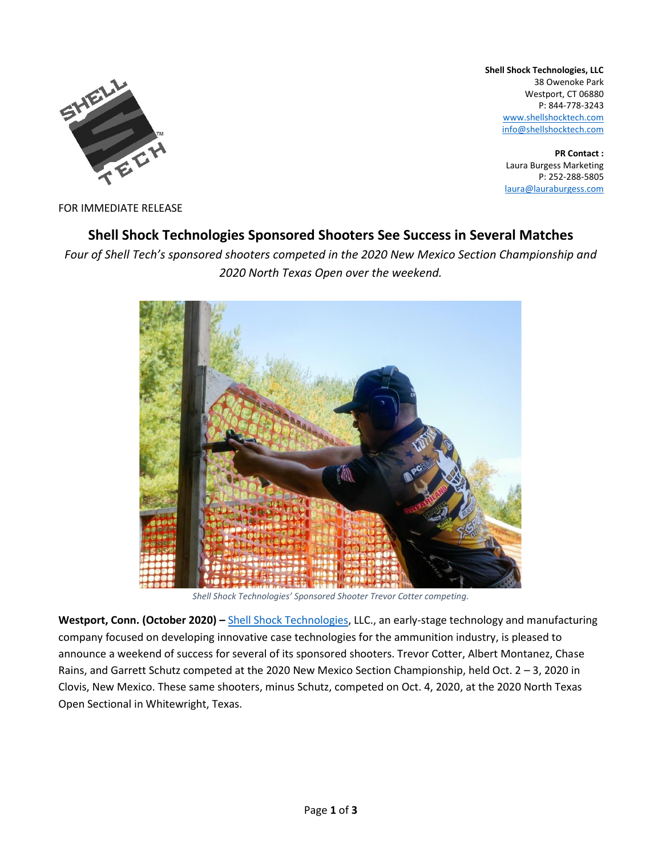

**Shell Shock Technologies, LLC** 38 Owenoke Park Westport, CT 06880 P: 844-778-3243 [www.shellshocktech.com](http://www.shellshocktech.com/) info@shellshocktech.com

> **PR Contact :** Laura Burgess Marketing P: 252-288-5805 [laura@lauraburgess.com](mailto:laura@lauraburgess.com)

FOR IMMEDIATE RELEASE

# **Shell Shock Technologies Sponsored Shooters See Success in Several Matches**

*Four of Shell Tech's sponsored shooters competed in the 2020 New Mexico Section Championship and 2020 North Texas Open over the weekend.*



*Shell Shock Technologies' Sponsored Shooter Trevor Cotter competing.*

**Westport, Conn. (October 2020) –** [Shell Shock Technologies,](http://www.shellshocktech.com/) LLC., an early-stage technology and manufacturing company focused on developing innovative case technologies for the ammunition industry, is pleased to announce a weekend of success for several of its sponsored shooters. Trevor Cotter, Albert Montanez, Chase Rains, and Garrett Schutz competed at the 2020 New Mexico Section Championship, held Oct. 2 – 3, 2020 in Clovis, New Mexico. These same shooters, minus Schutz, competed on Oct. 4, 2020, at the 2020 North Texas Open Sectional in Whitewright, Texas.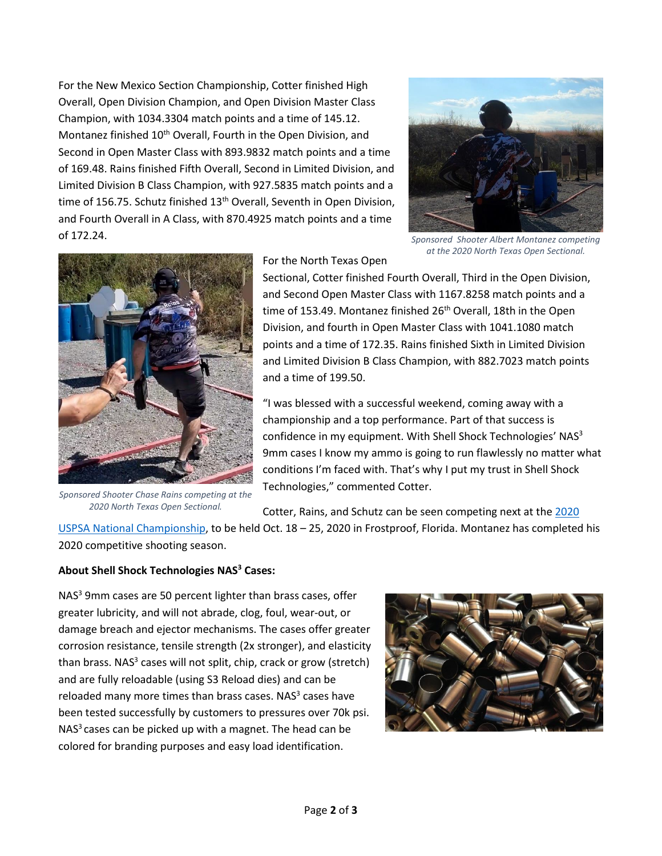For the New Mexico Section Championship, Cotter finished High Overall, Open Division Champion, and Open Division Master Class Champion, with 1034.3304 match points and a time of 145.12. Montanez finished 10<sup>th</sup> Overall, Fourth in the Open Division, and Second in Open Master Class with 893.9832 match points and a time of 169.48. Rains finished Fifth Overall, Second in Limited Division, and Limited Division B Class Champion, with 927.5835 match points and a time of 156.75. Schutz finished 13<sup>th</sup> Overall, Seventh in Open Division, and Fourth Overall in A Class, with 870.4925 match points and a time of 172.24.



*Sponsored Shooter Albert Montanez competing at the 2020 North Texas Open Sectional.*



*Sponsored Shooter Chase Rains competing at the 2020 North Texas Open Sectional.*

For the North Texas Open

Sectional, Cotter finished Fourth Overall, Third in the Open Division, and Second Open Master Class with 1167.8258 match points and a time of 153.49. Montanez finished 26<sup>th</sup> Overall, 18th in the Open Division, and fourth in Open Master Class with 1041.1080 match points and a time of 172.35. Rains finished Sixth in Limited Division and Limited Division B Class Champion, with 882.7023 match points and a time of 199.50.

"I was blessed with a successful weekend, coming away with a championship and a top performance. Part of that success is confidence in my equipment. With Shell Shock Technologies' NAS<sup>3</sup> 9mm cases I know my ammo is going to run flawlessly no matter what conditions I'm faced with. That's why I put my trust in Shell Shock Technologies," commented Cotter.

Cotter, Rains, and Schutz can be seen competing next at the 2020

[USPSA National](https://uspsa.org/nationals) Championship, to be held Oct. 18 – 25, 2020 in Frostproof, Florida. Montanez has completed his 2020 competitive shooting season.

# **About Shell Shock Technologies NAS<sup>3</sup> Cases:**

NAS<sup>3</sup> 9mm cases are 50 percent lighter than brass cases, offer greater lubricity, and will not abrade, clog, foul, wear-out, or damage breach and ejector mechanisms. The cases offer greater corrosion resistance, tensile strength (2x stronger), and elasticity than brass. NAS<sup>3</sup> cases will not split, chip, crack or grow (stretch) and are fully reloadable (using S3 Reload dies) and can be reloaded many more times than brass cases. NAS<sup>3</sup> cases have been tested successfully by customers to pressures over 70k psi.  $NAS<sup>3</sup>$  cases can be picked up with a magnet. The head can be colored for branding purposes and easy load identification.